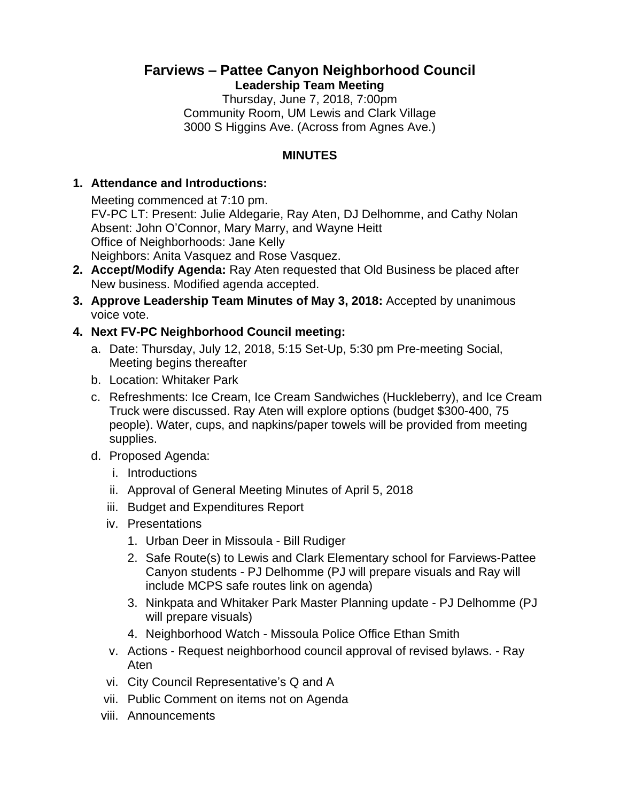# **Farviews – Pattee Canyon Neighborhood Council Leadership Team Meeting**

Thursday, June 7, 2018, 7:00pm Community Room, UM Lewis and Clark Village 3000 S Higgins Ave. (Across from Agnes Ave.)

# **MINUTES**

### **1. Attendance and Introductions:**

Meeting commenced at 7:10 pm. FV-PC LT: Present: Julie Aldegarie, Ray Aten, DJ Delhomme, and Cathy Nolan Absent: John O'Connor, Mary Marry, and Wayne Heitt Office of Neighborhoods: Jane Kelly Neighbors: Anita Vasquez and Rose Vasquez.

- **2. Accept/Modify Agenda:** Ray Aten requested that Old Business be placed after New business. Modified agenda accepted.
- **3. Approve Leadership Team Minutes of May 3, 2018:** Accepted by unanimous voice vote.

### **4. Next FV-PC Neighborhood Council meeting:**

- a. Date: Thursday, July 12, 2018, 5:15 Set-Up, 5:30 pm Pre-meeting Social, Meeting begins thereafter
- b. Location: Whitaker Park
- c. Refreshments: Ice Cream, Ice Cream Sandwiches (Huckleberry), and Ice Cream Truck were discussed. Ray Aten will explore options (budget \$300-400, 75 people). Water, cups, and napkins/paper towels will be provided from meeting supplies.
- d. Proposed Agenda:
	- i. Introductions
	- ii. Approval of General Meeting Minutes of April 5, 2018
	- iii. Budget and Expenditures Report
	- iv. Presentations
		- 1. Urban Deer in Missoula Bill Rudiger
		- 2. Safe Route(s) to Lewis and Clark Elementary school for Farviews-Pattee Canyon students - PJ Delhomme (PJ will prepare visuals and Ray will include MCPS safe routes link on agenda)
		- 3. Ninkpata and Whitaker Park Master Planning update PJ Delhomme (PJ will prepare visuals)
		- 4. Neighborhood Watch Missoula Police Office Ethan Smith
	- v. Actions Request neighborhood council approval of revised bylaws. Ray Aten
	- vi. City Council Representative's Q and A
	- vii. Public Comment on items not on Agenda
	- viii. Announcements